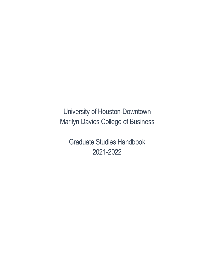University of Houston-Downtown Marilyn Davies College of Business

Graduate Studies Handbook 2021-2022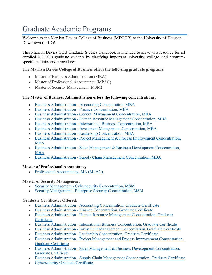# Graduate Academic Programs

Welcome to the Marilyn Davies College of Business (MDCOB) at the University of Houston – Downtown (UHD)!

This Marilyn Davies COB Graduate Studies Handbook is intended to serve as a resource for all enrolled MDCOB graduate students by clarifying important university, college, and programspecific policies and procedures.

### **The Marilyn Davies College of Business offers the following graduate programs:**

- Master of Business Administration (MBA)
- Master of Professional Accountancy (MPAC)
- Master of Security Management (MSM)

### **The Master of Business Administration offers the following concentrations:**

- Business [Administration](https://catalog.uhd.edu/preview_program.php?catoid=22&poid=4759) Accounting Concentration, MBA
- Business [Administration](https://catalog.uhd.edu/preview_program.php?catoid=22&poid=4739) Finance Concentration, MBA
- Business [Administration](https://catalog.uhd.edu/preview_program.php?catoid=22&poid=4731) General Management Concentration, MBA
- Business [Administration](https://catalog.uhd.edu/preview_program.php?catoid=22&poid=4736) Human Resource Management Concentration, MBA
- Business [Administration](https://catalog.uhd.edu/preview_program.php?catoid=22&poid=4740) International Business Concentration, MBA
- Business [Administration](https://catalog.uhd.edu/preview_program.php?catoid=22&poid=4775) Investment Management Concentration, MBA
- Business [Administration](https://catalog.uhd.edu/preview_program.php?catoid=22&poid=4737) Leadership Concentration, MBA
- Business [Administration](https://catalog.uhd.edu/preview_program.php?catoid=22&poid=4761) Project Management & Process Improvement Concentration, [MBA](https://catalog.uhd.edu/preview_program.php?catoid=22&poid=4761)
- Business [Administration](https://catalog.uhd.edu/preview_program.php?catoid=22&poid=4738) Sales Management & Business Development Concentration, [MBA](https://catalog.uhd.edu/preview_program.php?catoid=22&poid=4738)
- Business [Administration](https://catalog.uhd.edu/preview_program.php?catoid=22&poid=4735) Supply Chain Management Concentration, MBA

### **Master of Professional Accountancy**

• Professional [Accountancy,](https://catalog.uhd.edu/preview_program.php?catoid=22&poid=4789) MA (MPAC)

### **Master of Security Management**

- Security Management Cybersecurity [Concentration,](https://catalog.uhd.edu/preview_program.php?catoid=22&poid=4748) MSM
- Security Management Enterprise Security [Concentration,](https://catalog.uhd.edu/preview_program.php?catoid=22&poid=4747) MSM

### **Graduate Certificates Offered:**

- Business [Administration](https://catalog.uhd.edu/preview_program.php?catoid=22&poid=4734) Accounting Concentration, Graduate Certificate
- Business [Administration](https://catalog.uhd.edu/preview_program.php?catoid=22&poid=4745) Finance Concentration, Graduate Certificate
- Business [Administration](https://catalog.uhd.edu/preview_program.php?catoid=22&poid=4742) Human Resource Management Concentration, Graduate **[Certificate](https://catalog.uhd.edu/preview_program.php?catoid=22&poid=4742)**
- Business [Administration](https://catalog.uhd.edu/preview_program.php?catoid=22&poid=4746) International Business Concentration, Graduate Certificate
- Business [Administration](https://catalog.uhd.edu/preview_program.php?catoid=22&poid=4776) Investment Management Concentration, Graduate Certificate
- Business [Administration](https://catalog.uhd.edu/preview_program.php?catoid=22&poid=4743) Leadership Concentration, Graduate Certificate
- Business [Administration](https://catalog.uhd.edu/preview_program.php?catoid=22&poid=4762) Project Management and Process Improvement Concentration, Graduate [Certificate](https://catalog.uhd.edu/preview_program.php?catoid=22&poid=4762)
- Business [Administration](https://catalog.uhd.edu/preview_program.php?catoid=22&poid=4744) Sales Management & Business Development Concentration, Graduate [Certificate](https://catalog.uhd.edu/preview_program.php?catoid=22&poid=4744)
- Business [Administration](https://catalog.uhd.edu/preview_program.php?catoid=22&poid=4741) Supply Chain Management Concentration, Graduate Certificate
- [Cybersecurity](https://catalog.uhd.edu/preview_program.php?catoid=22&poid=4732) Graduate Certificate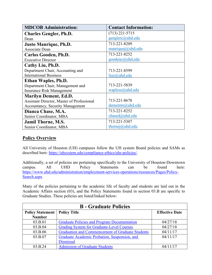| <b>MDCOB Administration:</b>               | <b>Contact Information:</b> |
|--------------------------------------------|-----------------------------|
| <b>Charles Gengler, Ph.D.</b>              | $(713)$ 221-5715            |
| Dean                                       | genglerc@uhd.edu            |
| <b>Justo Manrique, Ph.D.</b>               | 713-221-8209                |
| <b>Associate Dean</b>                      | manriquej@uhd.edu           |
| Carlos Gooden, Ph.D.                       | 713-221-8252                |
| <b>Executive Director</b>                  | goodenc@uhd.edu             |
| Cathy Liu, Ph.D.                           |                             |
| Department Chair, Accounting and           | 713-221-8599                |
| <b>International Business</b>              | liuz@uhd.edu                |
| Ethan Waples, Ph.D.                        |                             |
| Department Chair, Management and           | 713-221-5839                |
| <b>Insurance Risk Management</b>           | waplese@uhd.edu             |
| <b>Marilyn Dement, Ed.D.</b>               |                             |
| Assistant Director, Master of Professional | 713-221-8678                |
| <b>Accountancy, Security Management</b>    | dementm@uhd.edu             |
| Dianca Chase, M.A.                         | 713-221-8252                |
| Senior Coordinator, MBA                    | $chased@$ uhd.edu           |
| <b>Jamil Thorne, M.S.</b>                  | 713-221-5307                |
| Senior Coordinator, MBA                    | thornej@uhd.edu             |

## **Policy Overview**

All University of Houston (UH) campuses follow the UH system Board policies and SAMs as described here: [https://uhsystem.edu/compliance-ethics/uhs-policies/.](https://uhsystem.edu/compliance-ethics/uhs-policies/)

Additionally, a set of policies are pertaining specifically to the University of Houston-Downtown campus. All UHD Policy Statements can be found here: [https://www.uhd.edu/administration/employment-services-operations/resources/Pages/Policy-](https://www.uhd.edu/administration/employment-services-operations/resources/Pages/Policy-Search.aspx)[Search.aspx](https://www.uhd.edu/administration/employment-services-operations/resources/Pages/Policy-Search.aspx)

Many of the policies pertaining to the academic life of faculty and students are laid out in the Academic Affairs section (03), and the Policy Statements found in section 03.B are specific to Graduate Studies. These policies are listed/linked below:

| <b>B</b> - Graduate Policies |                                                         |                       |
|------------------------------|---------------------------------------------------------|-----------------------|
| <b>Policy Statement</b>      | <b>Policy Title</b>                                     | <b>Effective Date</b> |
| <b>Number</b>                |                                                         |                       |
| 03.B.01                      | <b>Graduate Policies and Program Documentation</b>      | 04/27/18              |
| 03.B.04                      | <b>Grading System for Graduate-Level Courses</b>        | 04/27/18              |
| 03.B.06                      | <b>Graduation and Commencement of Graduate Students</b> | 04/11/17              |
| 03.B.07                      | Graduate Academic Probation, Suspension, and            | 04/11/17              |
|                              | <b>Dismissal</b>                                        |                       |
| 03.B.24                      | <b>Admission of Graduate Students</b>                   | 04/11/17              |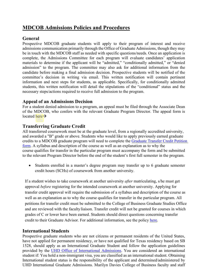## **MDCOB Admissions Policies and Procedures**

## **General**

Prospective MDCOB graduate students will apply to their program of interest and receive admissions communication primarily through the Office of Graduate Admissions, though they may be in touch with the MDCOB staff as needed with specific questions/needs. Once an application is complete, the Admissions Committee for each program will evaluate candidates' application materials to determine if the applicant will be "admitted," "conditionally admitted," or "denied admission" to the program. The committee may also ask for additional information from the candidate before making a final admission decision. Prospective students will be notified of the committee's decision in writing via email. This written notification will contain pertinent information and next steps for students, as applicable. Specifically, for conditionally admitted students, this written notification will detail the stipulations of the "conditional" status and the necessary steps/actions required to receive full admission to the program.

## **Appeal of an Admissions Decision**

For a student denied admission to a program, an appeal must be filed through the Associate Dean of the MDCOB, who confers with the relevant Graduate Program Director. The appeal form is located here $\rightarrow$ 

## **Transferring Graduate Credit**

All transferred coursework must be at the graduate level, from a regionally accredited university, and awarded a "B" grade or above. Students who would like to apply previously earned graduate credits to a MDCOB graduate program will need to complete the [Graduate Transfer Credit Petition](https://www.uhd.edu/academics/humanities/graduate-programs/master-arts-non-profit-management/Documents/Graduate-Transfer-Credit-Petition-Form.pdf)  [form.](https://www.uhd.edu/academics/humanities/graduate-programs/master-arts-non-profit-management/Documents/Graduate-Transfer-Credit-Petition-Form.pdf) A syllabus and description of the course as well as an explanation as to why the course qualifies for transfer in the particular program must accompany the form and be submitted to the relevant Program Director before the end of the student's first full semester in the program.

• Students enrolled in a master's degree program may transfer up to 6 graduate semester credit hours (SCHs) of coursework from another university.

If a student wishes to take coursework at another university *after* matriculating, s/he must get approval *before* registering for the intended coursework at another university. Applying for transfer credit approval will require the submission of a syllabus and description of the course as well as an explanation as to why the course qualifies for transfer in the particular program. All petitions for transfer credit must be submitted to the College of Business Graduate Studies Office and are reviewed with the facultyliaison. Transfer credit will not be granted for courses in which grades of C or lower have been earned. Students should direct questions concerning transfer credit to their Graduate Advisor. For additional information, see the policy [here.](https://catalog.uhd.edu/content.php?catoid=14&navoid=1017)

## **International Students**

Prospective graduate students who are not citizens or permanent residents of the United States, have not applied for permanent residency, or have not qualified for Texas residency based on SB 1528, should apply as an International Graduate Student and follow the application guidelines provided by the [UHD Office of International Admissions.](https://www.uhd.edu/admissions/international/Pages/default.aspx) You are considered an international student if: You hold a non-immigrant visa, you are classified as an international student. Obtaining International student status is the responsibility of the applicant and determined/administered by UHD International Graduate Admissions. Marilyn Davies College of Business faculty and staff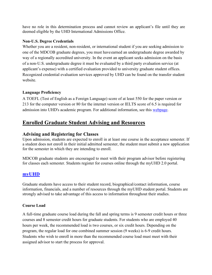have no role in this determination process and cannot review an applicant's file until they are deemed eligible by the UHD International Admissions Office.

### **Non-U.S. Degree Credentials**

Whether you are a resident, non-resident, or international student if you are seeking admission to one of the MDCOB graduate degrees, you must haveearned an undergraduate degree awarded by way of a regionally accredited university. In the event an applicant seeks admission on the basis of a non-U.S. undergraduate degree it must be evaluated by a third party evaluation service (at applicant's expense) with a certified evaluation provided to university graduate student offices. Recognized credential evaluation services approved by UHD can be found on the transfer student website.

### **Language Proficiency**

A TOEFL (Test of English as a Foreign Language) score of at least 550 for the paper version or 213 for the computer version or 80 for the internet version or IELTS score of 6.5 is required for admission into UHD's academic program. For additional information, see this [webpage.](https://www.uhd.edu/admissions/international/Pages/international-language.aspx)

## **Enrolled Graduate Student Advising and Resources**

## **Advising and Registering for Classes**

Upon admission, students are expected to enroll in at least one course in the acceptance semester. If a student does not enroll in their initial admitted semester, the student must submit a new application for the semester in which they are intending to enroll.

MDCOB graduate students are encouraged to meet with their program advisor before registering for classes each semester. Students register for courses online through the myUHD 2.0 portal.

## **[myUHD](https://www.uhd.edu/myuhd/Pages/myuhd.aspx)**

Graduate students have access to their student record, biographical/contact information, course information, financials, and a number of resources through the myUHD student portal. Students are strongly advised to take advantage of this access to information throughout their studies.

### **Course Load**

A full-time graduate course load during the fall and spring terms is 9 semester credit hours or three courses and 8 semester credit hours for graduate students. For students who are employed 40 hours per week, the recommended load is two courses, or six credit hours. Depending on the program, the regular load for one combined summer session (9 weeks) is 6-9 credit hours. Students who wish to enroll in more than the recommended course load must meet with their assigned advisor to start the process for approval.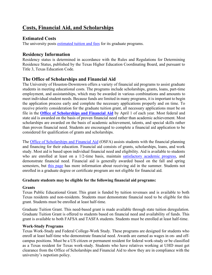## **Costs, Financial Aid, and Scholarships**

## **Estimated Costs**

The university posts [estimated tuition and fees](https://www.uhd.edu/student-resources/cashiers/Pages/cashiers-tuition-fees.aspx) for its graduate programs.

## **Residency Information**

Residency status is determined in accordance with the Rules and Regulations for Determining Residence Status, published by the Texas Higher Education Coordinating Board, and pursuant to Title 3, Texas Education Code.

## **The Office of Scholarships and Financial Aid**

The University of Houston-Downtown offers a variety of financial aid programs to assist graduate students in meeting educational costs. The programs include scholarships, grants, loans, part-time employment, and assistantships, which may be awarded in various combinations and amounts to meet individual student needs. Because funds are limited in many programs, it is important to begin the application process early and complete the necessary applications properly and on time. To receive priority consideration for the graduate tuition grant, all necessary applications must be on file in the **[Office of Scholarships and Financial Aid](https://www.uhd.edu/financial/apply/Pages/financial-apply.aspx)** by April 1 of each year. Most federal and state aid is awarded on the basis of proven financial need rather than academic achievement. Most scholarships are awarded on the basis of academic achievement, talents, and special skills rather than proven financial need. Students are encouraged to complete a financial aid application to be considered for qualification of grants and scholarships.

The [Office of Scholarships and Financial Aid](https://www.uhd.edu/financial/Pages/financial-index.aspx) (OSFA) assists students with the financial planning and financing for their education. Financial aid consists of grants, scholarships, loans, and work study. Most aid is based upon individual financial need and eligibility. Aid is available to students who are enrolled at least on a 1/2-time basis, maintain [satisfactory academic progress,](https://www.uhd.edu/financial/eligibility/Pages/financial-sap-criteria.aspx) and demonstrate financial need. Financial aid is generally awarded based on the fall and spring semesters, but [this page](https://www.uhd.edu/financial/processing/Pages/financial-process-summer.aspx) has more information about receiving aid in the summer. Students not enrolled in a graduate degree or certificate program are not eligible for financial aid.

### **Graduate students may be eligible for the following financial aid programs:**

### **Grants**

Texas Public Educational Grant. This grant is funded by tuition revenues and is available to both Texas residents and non-residents. Students must demonstrate financial need to be eligible for this grant. Students must be enrolled at least half-time.

Graduate Tuition Grant. This need-based grant is made available through state tuition deregulation. Graduate Tuition Grant is offered to students based on financial need and availability of funds. This grant is available to both FAFSA and TASFA students. Students must be enrolled at least half-time.

### **Work-Study Programs**

Texas Work-Study and Federal College-Work Study. These programs are designed for students who enroll at least half-time who demonstrate financial need. Awards are earned as wages in on- and offcampus positions. Must be a US citizen or permanent resident for federal work-study or be classified as a Texas resident for Texas work-study. Students who have relatives working at UHD must get clearance from the Office of Scholarships and Financial Aid to show they are in compliance with the university's nepotism policy.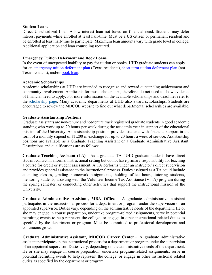#### **Student Loans**

Direct Unsubsidized Loan. A low-interest loan not based on financial need. Students may defer interest payments while enrolled at least half-time. Must be a US citizen or permanent resident and be enrolled at least half-time to participate. Maximum loan amounts vary with grade level in college. Additional application and loan counseling required.

#### **Emergency Tuition Deferment and Book Loans**

In the event of unexpected inability to pay for tuition or books, UHD graduate students can apply for an [emergency tuition deferment plan](https://www.uhd.edu/student-resources/cashiers/Pages/cashiers-deferment-plan.aspx) (Texas residents), [short term tuition deferment plan](https://www.uhd.edu/student-resources/cashiers/Pages/cashiers-short-deferment-plan.aspx) (not Texas resident), and/or [book loan.](https://www.uhd.edu/student-resources/cashiers/Pages/cashiers-books.aspx)

#### **Academic Scholarships**

Academic scholarships at UHD are intended to recognize and reward outstanding achievement and community involvement. Applicants for most scholarships, therefore, do not need to show evidence of financial need to apply. For more information on the available scholarships and deadlines refer to the [scholarship page.](https://www.uhd.edu/financial/scholarships/) Many academic departments at UHD also award scholarships. Students are encouraged to review the MDCOB website to find out what departmental scholarships are available.

### **Graduate Assistantship Positions**

Graduate assistants are non-tenure and not-tenure track registered graduate students in good academic standing who work up to 20 hours per week during the academic year in support of the educational mission of the University. An assistantship position provides students with financial support in the form of a monthly stipend of \$1,200 in exchange for up to 20 hours a week of service. Assistantship positions are available as a Graduate Teaching Assistant or a Graduate Administrative Assistant. Descriptions and qualifications are as follows:

**Graduate Teaching Assistant (TA)** – As a graduate TA, UHD graduate students have direct student contact in a formal instructional setting but do not have primary responsibility for teaching a course for credit or student assessment. A TA performs under an instructor's direct supervision and provides general assistance to the instructional process. Duties assigned as a TA could include attending classes, grading homework assignments, holding office hours, tutoring students, mentoring students, assisting with the Volunteer Income Tax Assistance (VITA) program during the spring semester, or conducting other activities that support the instructional mission of the University.

**Graduate Administrative Assistant, MBA Office** – A graduate administrative assistant participates in the instructional process for a department or program under the supervision of an appointed supervisor. Duties vary, depending on the administrative needs of the department. He or she may engage in course preparation, undertake program-related assignments, serve in potential recruiting events to help represent the college, or engage in other instructional related duties as specified by the department or program. Must be committed to professional development and continuous growth.

**Graduate Administrative Assistant, MDCOB Career Center** – A graduate administrative assistant participates in the instructional process for a department or program under the supervision of an appointed supervisor. Duties vary, depending on the administrative needs of the department. He or she may engage in course preparation, undertake program-related assignments, serve in potential recruiting events to help represent the college, or engage in other instructional related duties as specified by the department or program.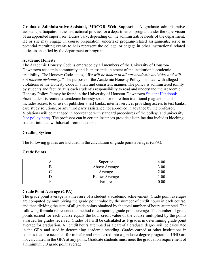**Graduate Administrative Assistant, MDCOB Web Support -** A graduate administrative assistant participates in the instructional process for a department or program under the supervision of an appointed supervisor. Duties vary, depending on the administrative needs of the department. He or she may engage in course preparation, undertake program-related assignments, serve in potential recruiting events to help represent the college, or engage in other instructional related duties as specified by the department or program.

#### **Academic Honesty**

The Academic Honesty Code is embraced by all members of the University of Houston-Downtown academic community and is an essential element of the institution's academic credibility. The Honesty Code states, *"We will be honest in all our academic activities and will not tolerate dishonesty."* The purpose of the Academic Honesty Policy is to deal with alleged violations of the Honesty Code in a fair and consistent manner.The policy is administered jointly by students and faculty. It is each student's responsibility to read and understand the Academic Honesty Policy. It may be found in the University of Houston-Downtown [Student Handbook.](http://www.uhd.edu/student-resources/handbook) Each student is reminded academic honesty spans for more than traditional plagiarism and includes access to or use of publisher's test banks, internet services providing access to test banks, case study solutions, or any third party assistance not approved in advance by the professor. Violations will be managed in accordance with standard procedures of the college and university [\(see policy here\)](https://www.uhd.edu/administration/employment-services-operations/resources/Documents/PS03A19.pdf). The professor can in certain instances provide discipline that includes blocking student-initiated withdrawal from the course.

### **Grading System**

The following grades are included in the calculation of grade point averages (GPA):

| Superior             | 4.00     |
|----------------------|----------|
| Above Average        | 3.00     |
| Average              | 2.00     |
| <b>Below Average</b> | $1.00\,$ |
| Failure              | 0.00     |

### **Grade Point Average (GPA)**

The grade point average is a measure of a student's academic achievement. Grade point averages are computed by multiplying the grade point value by the number of credit hours in each course, and then dividing the sum of all grade points obtained by the total number of hours attempted. The following formula represents the method of computing grade point average. The number of grade points earned for each course equals the hour credit value of the course multiplied by the points awarded for grades received. Grades of I will be calculated as F grades in determining grade point average for graduation. All credit hours attempted as a part of a graduate degree will be calculated in the GPA and used in determining academic standing. Grades earned at other institutions in courses that are accepted for transfer and transferred into a graduate degree program at UHD are not calculated in the GPA at any point. Graduate students must meet the graduation requirement of a minimum 3.0 grade point average.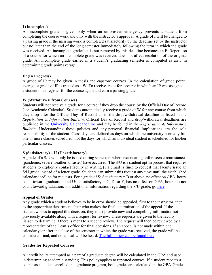### **I (Incomplete)**

An incomplete grade is given only when an unforeseen emergency prevents a student from completing the course work and only with the instructor's approval. A grade of I will be changed to a passing grade if the missing work is completed satisfactorily by the deadline set by the instructor but no later than the end of the long semester immediately following the term in which the grade was received. An incomplete grade that is not removed by this deadline becomes an F. Repetition of a course for which an incomplete grade was received does not affect resolution of the original grade. An incomplete grade earned in a student's graduating semester is computed as an F in determining grade point average.

### **IP (In Progress)**

A grade of IP may be given in thesis and capstone courses. In the calculation of grade point average, a grade of IP is treated as a W. To receivecredit for a course in which an IP was assigned, a student must register for the course again and earn a passing grade.

### **W (Withdrawal from Courses)**

Students will not receive a grade for a course if they drop the course by the Official Day of Record (see Academic Calendar). Students automatically receive a grade of W for any course from which they drop after the Official Day of Record up to the drop/withdrawal deadline as listed in the *Registration & Information Bulletin*. Official Day of Record and drop/withdrawal deadlines are published in the [University Calendar](http://www.uhd.edu/AcademicCalendars) online and may be found in the *Registration & Information Bulletin*. Understanding these policies and any personal financial implications are the sole responsibility of the student. Class days are defined as days on which the university normally has one or more classes scheduled; not the days for which an individual student is scheduled for his/her particular classes.

### **S (Satisfactory) – U (Unsatisfactory)**

A grade of a S/U will only be issued during semesters where extenuating unforeseen circumstances (pandemic, severe weather, disaster) have occurred. The S/U is a student opt-in process that requires students to explicitly contact faculty in writing (via email is fine) to request that faculty issue an S/U grade instead of a letter grade. Students can submit this request any time until the established calendar deadline for requests. For a grade of S: Satisfactory = B or above, no effect on GPA, hours count toward graduation and U: Unsatisfactory = C, D, or F, has no effect on GPA, hours do not count toward graduation. For additional information regarding the S/U grade, go [here.](https://www.uhd.edu/registrar/Pages/grading-policy-spring-2021.aspx)

### **Appeal of Grades**

Any grade which a student believes to be in error should be appealed, first to the instructor, then to the appropriate department chair who makes the final determination of the appeal. If the student wishes to appeal this decision, they must provide new and compelling informationnot previously available along with a request for review. These requests are given to the faculty liaison to determine if there is merit to a second review. The request will then be reviewed by a representative of the Dean's office for final decisions. If an appeal is not made within one calendar year after the close of the semester in which the grade was received, the grade will be considered final, and no appeal will be heard. [The full policy can be found here.](https://www.uhd.edu/administration/employment-services-operations/resources/Documents/PS03B04.pdf)

### **Grades for Repeated Courses**

All credit hours attempted as a part of a graduate degree will be calculated in the GPA and used in determining academic standing. This policyapplies to repeated courses. If a student repeats a course as a student enrolled in a graduate program, both grades are calculated in the GPA.Grades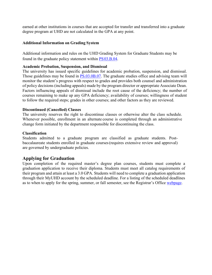earned at other institutions in courses that are accepted for transfer and transferred into a graduate degree program at UHD are not calculated in the GPA at any point.

### **Additional Information on Grading System**

Additional information and rules on the UHD Grading System for Graduate Students may be found in the graduate policy statement within [PS03.B.04.](https://www.uhd.edu/administration/employment-services-operations/resources/Documents/PS03B04.pdf)

### **Academic Probation, Suspension, and Dismissal**

The university has issued specific guidelines for academic probation, suspension, and dismissal. Those guidelines may be found in [PS.03.0B.07.](https://www.uhd.edu/administration/employment-services-operations/resources/Documents/AAC%20PS03.B.07.pdf) The graduate studies office and advising team will monitor the student's progress with respect to grades and provides both counsel and administration of policy decisions (including appeals) made by the program director or appropriate Associate Dean. Factors influencing appeals of dismissal include the root cause of the deficiency; the number of courses remaining to make up any GPA deficiency; availability of courses; willingness of student to follow the required steps; grades in other courses; and other factors as they are reviewed.

### **Discontinued (Cancelled) Classes**

The university reserves the right to discontinue classes or otherwise alter the class schedule. Whenever possible, enrollment in an alternate course is completed through an administrative change form initiated by the department responsible for discontinuing the class.

### **Classification**

Students admitted to a graduate program are classified as graduate students. Postbaccalaureate students enrolled in graduate courses(requires extensive review and approval) are governed by undergraduate policies.

## **Applying for Graduation**

Upon completion of the required master's degree plan courses, students must complete a graduation application to receive their diploma. Students must meet all catalog requirements of their program and attain at least a 3.0 GPA. Students will need to complete a graduation application through their MyUHD account by the scheduled deadline. For a listing of the scheduled deadlines as to when to apply for the spring, summer, or fall semester, see the Registrar's Office [webpage.](https://www.uhd.edu/registrar/students/records-requests/Pages/registrar-graduation.aspx)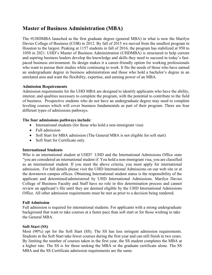## **Master of Business Administration (MBA)**

The #UHDMBA launched as the first graduate degree (general MBA) in what is now the Marilyn Davies College of Business (COB) in 2012. By fall of 2015 we moved from the smallest program in Houston to the largest. Peaking at 1157 students in fall of 2016, the program has stabilized at 950 to 1050 in 2021. UHD's Master of Business Administration (UHDMBA) is structured to help current and aspiring business leaders develop the knowledge and skills they need to succeed in today's fastpaced business environment. Its design makes it a career-friendly option for working professionals who want to pursue their studies while continuing to work. It fits the needs of those who have earned an undergraduate degree in business administration and those who hold a bachelor's degree in an unrelated area and want the flexibility, expertise, and earning power of an MBA.

### **Admission Requirements**

Admission requirements for the UHD MBA are designed to identify applicants who have the ability, interest, and qualities necessary to complete the program, with the potential to contribute to the field of business. Prospective students who do not have an undergraduate degree may need to complete leveling courses which will cover business fundamentals as part of their program. There are four different types of admissions pathways.

### **The four admissions pathways include**:

- International students (for those who hold a non-immigrant visa)
- Full admission
- Soft Start for MBA admission (The General MBA is not eligible for soft start)
- Soft Start for Certificate only.

### **International Students**

Who is an international student at UHD? UHD and the International Admissions Office state "you are considered an international student if: You hold a non-immigrant visa, you are classified as an international student. If you meet the above criteria, you must apply for international admission. For full details please visit the UHD International Admissions on our web site or at the downtown campus offices. Obtaining International student status is the responsibility of the applicant and determined/administered by UHD International Admissions. Marilyn Davies College of Business Faculty and Staff have no role in this determination process and cannot review an applicant's file until they are deemed eligible by the UHD International Admissions Office. All other admission requirements must be met as prior to a decision being rendered.

### **Full Admission**

Full admission is required for international students. For applicants with a strong undergraduate background that want to take courses at a faster pace than soft start or for those wishing to take the General MBA.

### **Soft Start (SS)**

Most (90%) opt for the Soft Start (SS). The SS has less stringent admission requirements. Students in the Soft Start take fewer courses during the first year and can still finish in two years. By limiting the number of courses taken in the first year, the SS student completes the MBA at a higher rate. The SS is for those seeking the MBA or the graduate certificate alone. The SS MBA and the SS Certificate admission requirements are the same.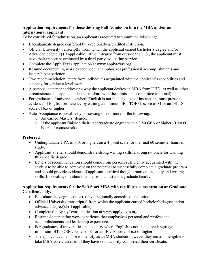### **Application requirements for those desiring Full Admission into the MBA and/or an international applicant**

To be considered for admission, an applicant is required to submit the following:

- Baccalaureate degree conferred by a regionally accredited institution.
- Official University transcript(s) from which the applicant earned bachelor's degree and/or Advanced degree(s) (if applicable). If your degree from outside the U.S., the applicant must have their transcript evaluated by a third-party evaluating service.
- Complete the ApplyTexas application at www.applytexas.org.
- Resume documenting work experience that emphasizes professional accomplishments and leadership experience.
- Two recommendation letters from individuals acquainted with the applicant's capabilities and capacity for graduate-level work.
- A personal statement addressing why the applicant desires an MBA from UHD, as well as other circumstances the applicant desires to share with the admissions committee (optional). .
- For graduates of universities where English is not the language of instruction, must present evidence of English proficiency by earning a minimum IBT TOEFL score of 81 or an IELTS score of 6.5 or higher.
- Auto-Acceptance is possible by possessing one or more of the following:
	- o An earned Masters' degree.
	- o If the applicant finished their undergraduate degree with a 3.50 GPA or higher. (Last 60 hours of coursework).

### **Preferred**

- Undergraduate GPA of 3.0, or higher, on a 4-point scale for the final 60 semester hours of study.
- Applicant's letter should demonstrate strong writing skills, a strong rationale for wanting this specific degree,
- Letters of recommendation should come from persons sufficiently acquainted with the student to be able to comment on the potential to successfully complete a graduate program and should provide evidence of applicant's critical thought, motivation, study and writing skills. If possible, one should come from a past undergraduate faculty.

### **Application requirements for the Soft Start MBA with certificate concentration or Graduate Certificate only.**

- Baccalaureate degree conferred by a regionally accredited institution.
- Official University transcript(s) from which the applicant earned bachelor's degree and/or advanced degree(s) (if applicable).
- Complete the ApplyTexas application at www.applytexas.org.
- Resume documenting work experience that emphasizes personal and professional accomplishments and leadership experience.
- For graduates of universities in a country where English is not the native language: minimum IBT TOEFL scores of 81 or an IELTS score of 6.5 or higher.
- The applicant can choose to identify as an MBA student however they remain ineligible to take MBA core classes until they have satisfactorily completed their certificate.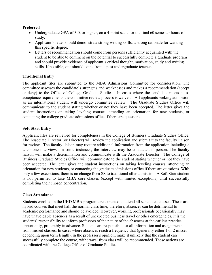### **Preferred**

- Undergraduate GPA of 3.0, or higher, on a 4-point scale for the final 60 semester hours of study.
- Applicant's letter should demonstrate strong writing skills, a strong rationale for wanting this specific degree,
- Letters of recommendation should come from persons sufficiently acquainted with the student to be able to comment on the potential to successfully complete a graduate program and should provide evidence of applicant's critical thought, motivation, study and writing skills. If possible, one should come from a past undergraduate teacher.

### **Traditional Entry**

The applicant files are submitted to the MBA Admissions Committee for consideration. The committee assesses the candidate's strengths and weaknesses and makes a recommendation (accept or deny) to the Office of College Graduate Studies. In cases where the candidate meets autoacceptance requirements the committee review process is waived. All applicants seeking admission as an international student will undergo committee review. The Graduate Studies Office will communicate to the student stating whether or not they have been accepted. The letter gives the student instructions on taking leveling courses, attending an orientation for new students, or contacting the college graduate admissions office if there are questions.

### **Soft Start Entry**

Applicant files are reviewed for completeness in the College of Business Graduate Studies Office. The Associate Director (or Director) will review the application and submit it to the faculty liaison for review. The faculty liaison may require additional information from the application including a telephone interview. In some instances, the interview may be conducted in-person. The faculty liaison will make a determination and communicate with the Associate Director. The College of Business Graduate Studies Office will communicate to the student stating whether or not they have been accepted. The letter gives the student instructions on taking leveling courses, attending an orientation for new students, or contacting the graduate admissions office if there are questions. With only a few exceptions, there is no change from SS to traditional after admission. A Soft Start student is not permitted to take MBA core classes (except with limited exceptions) until successfully completing their chosen concentration.

### **Class Attendance**

Students enrolled in the UHD MBA program are expected to attend all scheduled classes. These are hybrid courses that meet half the normal class time; therefore, absences can be detrimental to academic performance and should be avoided. However, working professionals occasionally may have unavoidable absences as a result of unexpected business travel or other emergencies. It is the students' responsibility to inform professors of the nature of the absences at the earliest practical opportunity, preferably in advance. Students are responsible for all information and assignments from missed classes. In cases where absences reach a frequency that (generally either 1 or 2 misses depending upon term length), in the professor's opinion, make it unlikely that the student can successfully complete the course, withdrawal from class will be recommended. These actions are coordinated with the College Office of Graduate Studies.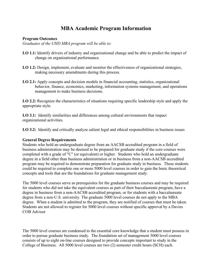## **MBA Academic Program Information**

### **Program Outcomes**

*Graduates of the UHD MBA program will be able to:*

- **LO 1.1:** Identify drivers of industry and organizational change and be able to predict the impact of change on organizational performance.
- **LO 1.2:** Design, implement, evaluate and monitor the effectiveness of organizational strategies, making necessary amendments during this process.
- **LO 2.1:** Apply concepts and decision models in financial accounting, statistics, organizational behavior, finance, economics, marketing, information systems management, and operations management to make business decisions.

**LO 2.2:** Recognize the characteristics of situations requiring specific leadership style and apply the appropriate style.

**LO 3.1:** Identify similarities and differences among cultural environments that impact organizational activities.

**LO 3.2:** Identify and critically analyze salient legal and ethical responsibilities in business issues

### **General Degree Requirements**

Students who hold an undergraduate degree from an AACSB accredited program in a field of business administration may be deemed to be prepared for graduate study if the core courses were completed with a grade of "C" (or equivalent) or higher. Students who hold an undergraduate degree in a field other than business administration or in business from a non-AACSB accredited program may be required to demonstrate preparation for graduate study in business. These students could be required to complete one or more 5000 level courses in order to gain the basic theoretical concepts and tools that are the foundations for graduate management study.

The 5000 level courses serve as prerequisites for the graduate business courses and may be required for students who did not take the equivalent courses as part of their baccalaureate program, have a degree in business from a non-AACSB accredited program, or for students with a baccalaureate degree from a non-U.S. university. The graduate 5000 level courses do not apply to the MBA degree. When a student is admitted to the program, they are notified of courses that must be taken. Students are not allowed to register for 5000 level courses without specific approval by a Davies COB Advisor

The 5000 level courses are condensed to the essential core knowledge that a student must possess in order to pursue graduate business study. The foundation set of management 5000 level courses consists of up to eight on-line courses designed to provide concepts important to study in the College of Business. All 5000 level courses are two (2) semester credit hours (SCH) each.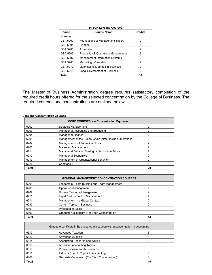| <b>14 SCH Leveling Courses</b> |                                               |                |
|--------------------------------|-----------------------------------------------|----------------|
| Course                         | <b>Course Name</b>                            | <b>Credits</b> |
| <b>Number</b>                  |                                               |                |
| GBA 5202                       | Foundations of Management Theory              | 2              |
| GBA 5304                       | Finance                                       | 2              |
| GBA 5205                       | Accounting                                    | 2              |
| GBA 5206                       | <b>Production &amp; Operations Management</b> | 2              |
| GBA 5207                       | <b>Management Information Systems</b>         | 2              |
| GBA 5208                       | Marketing Information                         | 2              |
| GBA 5212                       | Quantitative Methods in Business              | 2              |
| GBA 5215                       | <b>Legal Environment of Business</b>          | 2              |
| Total                          |                                               | 16             |
|                                |                                               |                |

The Master of Business Administration degree requires satisfactory completion of the required credit hours offered for the selected concentration by the College of Business. The required courses and concentrations are outlined below:

#### **Core and Concentration Courses**

| <b>CORE COURSES w/o Concentration Equivalent</b> |                                                           |    |
|--------------------------------------------------|-----------------------------------------------------------|----|
| 6202                                             | Strategic Management                                      | 2  |
| 6203                                             | Managerial Accounting and Budgeting                       | 2  |
| 6204                                             | <b>Managerial Finance</b>                                 | 2  |
| 6205                                             | Management of the Supply Chain (Note: include Operations) | 2  |
| 6207                                             | Management of Information Flows                           | 2  |
| 6208                                             | <b>Marketing Management</b>                               | 2  |
| 6211                                             | Managerial Decision Making (Note: include Stats)          | 2  |
| 6212                                             | <b>Managerial Economics</b>                               | 2  |
| 6213                                             | Management of Organizational Behavior                     | 2  |
| 6216                                             | Capstone B                                                | 2  |
| Total                                            |                                                           | 20 |

| <b>GENERAL MANAGEMENT CONCENTRATION COURSES</b> |                                               |    |
|-------------------------------------------------|-----------------------------------------------|----|
| 6201                                            | Leadership, Team Building and Team Management |    |
| 6206                                            | <b>Operations Management</b>                  |    |
| 6209                                            | Human Resource Management                     |    |
| 6210                                            | Legal Environment of Management               |    |
| 6214                                            | Management in a Global Context                |    |
| 6290                                            | <b>Current Topics in Business</b>             |    |
| 6101                                            | <b>Presentation Skills</b>                    |    |
| 6102                                            | Graduate Colloquium (For Each Concentration)  |    |
| <b>Total</b>                                    |                                               | 14 |

| Graduate certificate in Business Administration with a concentration in accounting |                                              |    |
|------------------------------------------------------------------------------------|----------------------------------------------|----|
| 6310                                                                               | <b>Advanced Taxation</b>                     |    |
| 6312                                                                               | <b>Advanced Auditing</b>                     |    |
| 6314                                                                               | Accounting Research and Writing              |    |
| 6315                                                                               | <b>Advanced Accounting Topics</b>            |    |
| 6316                                                                               | Professionalism for Accountants              |    |
| 6318                                                                               | Industry Specific Topics in Accounting       |    |
| 6102                                                                               | Graduate Colloquium (For Each Concentration) |    |
| <b>Total</b>                                                                       |                                              | 19 |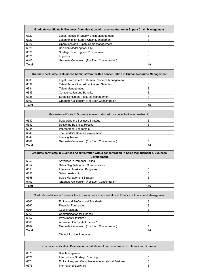| Graduate certificate in Business Administration with a concentration in Supply Chain Management |                                              |    |
|-------------------------------------------------------------------------------------------------|----------------------------------------------|----|
| 6320                                                                                            | Legal Aspects of Supply Chain Management     |    |
| 6322                                                                                            | Leadership inn Supply Chain Management       |    |
| 6322                                                                                            | Operations and Supply Chain Management       |    |
| 6325                                                                                            | Decision Modeling for SCM                    | 3  |
| 6326                                                                                            | <b>Strategic Sourcing and Procurement</b>    |    |
| 6328                                                                                            | Logistics                                    | 3  |
| 6102                                                                                            | Graduate Colloquium (For Each Concentration) |    |
| <b>Total</b>                                                                                    |                                              | 19 |

| Graduate certificate in Business Administration with a concentration in Human Resource Management |                                                |    |
|---------------------------------------------------------------------------------------------------|------------------------------------------------|----|
| 6330                                                                                              | Legal Environment of Human Resource Management |    |
| 6332                                                                                              | Talent Acquisition: Attraction and Selection   |    |
| 6334                                                                                              | Talent Management                              |    |
| 6336                                                                                              | <b>Compensation and Benefits</b>               |    |
| 6338                                                                                              | Strategic Human Resource Management            |    |
| 6102                                                                                              | Graduate Colloquium (For Each Concentration)   |    |
| <b>Total</b>                                                                                      |                                                | 16 |

<u> 1989 - Jan Salaman Santa Barat da Santa Barat da Santa Barat da Santa Barat da Santa Barat da Santa Barat da</u>

| Graduate certificate in Business Administration with a concentration in Leadership |                                              |    |
|------------------------------------------------------------------------------------|----------------------------------------------|----|
| 6340                                                                               | Supporting the Business Strategy             |    |
| 6342                                                                               | <b>Delivering Business Results</b>           |    |
| 6344                                                                               | Interpersonal Leadership                     |    |
| 6346                                                                               | The Leader's Role in Development             |    |
| 6348                                                                               | Leading Teams                                |    |
| 6102                                                                               | Graduate Colloquium (For Each Concentration) |    |
| <b>Total</b>                                                                       |                                              | 16 |

 $\overline{\phantom{0}}$ 

 $\overline{\phantom{0}}$ 

| Graduate certificate in Business Administration with a concentration in Sales Management & Business |                                              |    |
|-----------------------------------------------------------------------------------------------------|----------------------------------------------|----|
| <b>Development</b>                                                                                  |                                              |    |
| 6350                                                                                                | Advances in Personal Selling                 |    |
| 6352                                                                                                | Sales Negotiation and Communication          |    |
| 6354                                                                                                | Integrated Marketing Programs                |    |
| 6356                                                                                                | Sales Leadership                             |    |
| 6358                                                                                                | Sales Management Strategy                    |    |
| 6102                                                                                                | Graduate Colloquium (For Each Concentration) |    |
| <b>Total</b>                                                                                        |                                              | 16 |

<u> 1980 - Johann Stoff, deutscher Stoffen und der Stoffen und der Stoffen und der Stoffen und der Stoffen und de</u>

| Graduate certificate in Business Administration with a concentration in Finance or Investment Management |                                              |    |  |  |
|----------------------------------------------------------------------------------------------------------|----------------------------------------------|----|--|--|
| 6360                                                                                                     | <b>Ethical and Professional Standards</b>    |    |  |  |
| 6362                                                                                                     | <b>Financial Forecasting</b>                 |    |  |  |
| 6364                                                                                                     | <b>Capital Markets</b>                       |    |  |  |
| 6366                                                                                                     | <b>Communication for Finance</b>             | 3  |  |  |
| 6367                                                                                                     | Investment/Statistics *                      |    |  |  |
| 6368                                                                                                     | Advanced Corporate Finance *                 |    |  |  |
| 6102                                                                                                     | Graduate Colloquium (For Each Concentration) |    |  |  |
| <b>Total</b>                                                                                             |                                              | 16 |  |  |
|                                                                                                          | *Select 1 of the 2 courses                   |    |  |  |

| Graduate certificate in Business Administration with a concentration in International Business |                                                       |  |  |  |  |
|------------------------------------------------------------------------------------------------|-------------------------------------------------------|--|--|--|--|
| 6370                                                                                           | <b>Risk Management</b>                                |  |  |  |  |
| 6372                                                                                           | International Strategic Sourcing                      |  |  |  |  |
| 6374                                                                                           | Ethics, Law, and Compliance in International Business |  |  |  |  |
| 6376                                                                                           | <b>International Logistics</b>                        |  |  |  |  |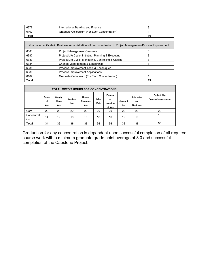| 6378  | International Banking and Finance            |    |
|-------|----------------------------------------------|----|
| 6102  | Graduate Colloquium (For Each Concentration) |    |
| Total |                                              | 16 |

| Graduate certificate in Business Administration with a concentration in Project Management/Process Improvement |                                                       |    |  |  |
|----------------------------------------------------------------------------------------------------------------|-------------------------------------------------------|----|--|--|
| 6381                                                                                                           | <b>Project Management Overview</b>                    |    |  |  |
| 6382                                                                                                           | Project Life Cycle: Initiating, Planning & Executing  | 3  |  |  |
| 6383                                                                                                           | Project Life Cycle: Monitoring, Controlling & Closing |    |  |  |
| 6384                                                                                                           | Change Management & Leadership                        | 3  |  |  |
| 6385                                                                                                           | Process Improvement Tools & Techniques                | 3  |  |  |
| 6386                                                                                                           | <b>Process Improvement Applications</b>               | 3  |  |  |
| 6102                                                                                                           | Graduate Colloquium (For Each Concentration)          |    |  |  |
| <b>Total</b>                                                                                                   |                                                       | 19 |  |  |

| <b>TOTAL CREDIT HOURS FOR CONCENTRATIONS</b> |                     |                                |                |                                  |                      |                                      |                |                                      |                                            |
|----------------------------------------------|---------------------|--------------------------------|----------------|----------------------------------|----------------------|--------------------------------------|----------------|--------------------------------------|--------------------------------------------|
|                                              | Gener<br>al<br>Mgt. | <b>Supply</b><br>Chain<br>Mgt. | Leaders<br>hip | Human<br><b>Resource</b><br>Mgt. | <b>Sales</b><br>Mgt. | Finance<br>or<br>Investme<br>nt Mgt. | Account<br>ing | Internatio<br>nal<br><b>Business</b> | Project. Mgt<br><b>Process Improvement</b> |
| Core                                         | 20                  | 20                             | 20             | 20                               | 20                   | 20                                   | 20             | 20                                   | 20                                         |
| Concentrat<br>ion                            | 14                  | 19                             | 16             | 16                               | 16                   | 16                                   | 19             | 16                                   | 16                                         |
| Total                                        | 34                  | 39                             | 36             | 36                               | 36                   | 36                                   | 39             | 36                                   | 36                                         |

Graduation for any concentration is dependent upon successful completion of all required course work with a minimum graduate grade point average of 3.0 and successful completion of the Capstone Project.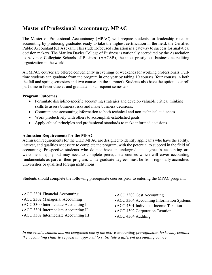## **Master of Professional Accountancy, MPAC**

The Master of Professional Accountancy (MPAC) will prepare students for leadership roles in accounting by producing graduates ready to take the highest certification in the field, the Certified Public Accountant (CPA) exam. This student-focused education is a gateway to success for analytical decision makers. The Marilyn Davies College of Business is nationally accredited by the Association to Advance Collegiate Schools of Business (AACSB), the most prestigious business accrediting organization in the world.

All MPAC courses are offered conveniently in evenings or weekends for working professionals. Fulltime students can graduate from the program in one year by taking 10 courses (four courses in both the fall and spring semesters and two courses in the summer). Students also have the option to enroll part-time in fewer classes and graduate in subsequent semesters.

### **Program Outcomes**

- Formulate discipline-specific accounting strategies and develop valuable critical thinking skills to assess business risks and make business decisions.
- Communicate accounting information to both technical and non-technical audiences.
- Work productively with others to accomplish established goals.
- Apply ethical principles and professional standards to make informed decisions.

### **Admission Requirements for the MPAC**

Admission requirements for the UHD MPAC are designed to identify applicants who have the ability, interest, and qualities necessary to complete the program, with the potential to succeed in the field of accounting. Prospective students who do not have an undergraduate degree in accounting are welcome to apply but may need to complete prerequisite courses which will cover accounting fundamentals as part of their program. Undergraduate degrees must be from regionally accredited universities or qualified foreign institutions.

Students should complete the following prerequisite courses prior to entering the MPAC program:

- •ACC 2301 Financial Accounting
- ACC 2302 Managerial Accounting
- •ACC 3300 Intermediate Accounting I
- •ACC 3301 Intermediate Accounting II
- •ACC 3302 Intermediate Accounting III
- •ACC 3303 Cost Accounting
- •ACC 3304 Accounting Information Systems
- •ACC 4301 Individual Income Taxation
- •ACC 4302 Corporation Taxation
- ACC 4304 Auditing

*In the event a student has not completed one of the above accounting prerequisites, h/she may contact the accounting chair to request an approval to substitute a different accounting course.*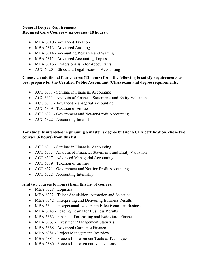### **General Degree Requirements Required Core Courses – six courses (18 hours):**

- MBA 6310 Advanced Taxation
- MBA 6312 Advanced Auditing
- MBA 6314 Accounting Research and Writing
- MBA 6315 Advanced Accounting Topics
- MBA 6316 Professionalism for Accountants
- ACC 6320 Ethics and Legal Issues in Accounting

### **Choose an additional four courses (12 hours) from the following to satisfy requirements to best prepare for the Certified Public Accountant (CPA) exam and degree requirements:**

- ACC 6311 Seminar in Financial Accounting
- ACC 6313 Analysis of Financial Statements and Entity Valuation
- ACC 6317 Advanced Managerial Accounting
- ACC 6319 Taxation of Entities
- ACC 6321 Government and Not-for-Profit Accounting
- ACC 6322 Accounting Internship

### **For students interested in pursuing a master's degree but not a CPA certification, chose two courses (6 hours) from this list:**

- ACC 6311 Seminar in Financial Accounting
- ACC 6313 Analysis of Financial Statements and Entity Valuation
- ACC 6317 Advanced Managerial Accounting
- ACC 6319 Taxation of Entities
- ACC 6321 Government and Not-for-Profit Accounting
- ACC 6322 Accounting Internship

### **And two courses (6 hours) from this list of courses:**

- MBA 6328 Logistics
- MBA 6332 Talent Acquisition: Attraction and Selection
- MBA 6342 Interpreting and Delivering Business Results
- MBA 6344 Interpersonal Leadership Effectiveness in Business
- MBA 6348 Leading Teams for Business Results
- MBA 6362 Financial Forecasting and Behavioral Finance
- MBA 6367 Investment Management Statistics
- MBA 6368 Advanced Corporate Finance
- MBA 6381 Project Management Overview
- MBA 6385 Process Improvement Tools & Techniques
- MBA 6386 Process Improvement Applications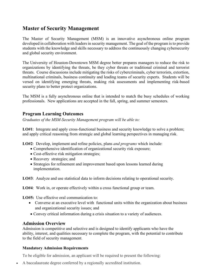## **Master of Security Management**

The Master of Security Management (MSM) is an innovative asynchronous online program developed in collaboration with leaders in security management. The goal of the program is to provide students with the knowledge and skills necessary to address the continuously changing cybersecurity and global security environment.

The University of Houston-Downtown MSM degree better prepares managers to reduce the risk to organizations by identifying the threats, be they cyber threats or traditional criminal and terrorist threats. Course discussions include mitigating the risks of cybercriminals, cyber terrorists, extortion, multinational criminals, business continuity and leading teams of security experts. Students will be versed on identifying emerging threats, making risk assessments and implementing risk-based security plans to better protect organizations.

The MSM is a fully asynchronous online that is intended to match the busy schedules of working professionals. New applications are accepted in the fall, spring, and summer semesters.

## **Program Learning Outcomes**

*Graduates of the MSM-Security Management program will be able to:*

**LO#1**: Integrate and apply cross-functional business and security knowledge to solve a problem; and apply critical reasoning from strategic and global learning perspectives in managing risk.

**LO#2**: Develop, implement and refine policies, plans *and programs* which include:

- Comprehensive identification of organizational security risk exposure;
- Cost-effective risk mitigation strategies;
- Recovery strategies; and
- Strategies for refinement and improvement based upon lessons learned during implementation.

**LO#3**: Analyze and use statistical data to inform decisions relating to operational security.

**LO#4**: Work in, or operate effectively within a cross functional group or team.

**LO#5:** Use effective oral communication to:

- Converse at an executive level with functional units within the organization about business and organizational security issues; and
- Convey critical information during a crisis situation to a variety of audiences.

## **Admission Overview**

Admission is competitive and selective and is designed to identify applicants who have the ability, interest, and qualities necessary to complete the program, with the potential to contribute to the field of security management.

### **Mandatory Admission Requirements**

To be eligible for admission, an applicant will be required to present the following:

• A baccalaureate degree conferred by a regionally accredited institution.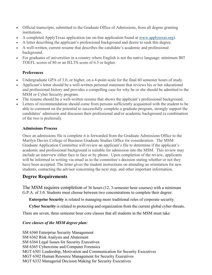- Official transcripts, submitted to the Graduate Office of Admissions, from all degree granting institutions.
- A completed ApplyTexas application (an on-line application found at [www.applytexas.org\)](http://www.applytexas.org/).
- A letter describing the applicant's professional background and desire to seek this degree.
- A well-written, current resume that describes the candidate's academic and professional background.
- For graduates of universities in a country where English is not the native language: minimum IBT TOEFL scores of 80 or an IELTS score of 6.5 or higher.

### **Preferences**

- Undergraduate GPA of 3.0, or higher, on a 4-point scale for the final 60 semester hours of study.
- Applicant's letter should be a well-written personal statement that reviews his or her educational and professional history and provides a compelling case for why he or she should be admitted to the MSM or Cyber Security program.
- The resume should be a well-written resume that shows the applicant's professional background.
- Letters of recommendation should come from persons sufficiently acquainted with the student to be able to comment on the potential to successfully complete a graduate program, strongly support the candidates' admission and discusses their professional and/or academic background (a combination of the two is preferred).

### **Admissions Process**

Once an admissions file is complete it is forwarded from the Graduate Admissions Office to the Marilyn Davies College of Business Graduate Studies Office for consideration. The MSM Graduate Application Committee will review an applicant's file to determine if the applicant's academic and professional background is suitable for admission into the MSM. This review may include an interview either face to face or by phone. Upon completion of the review, applicants will be informed in writing via email as to the committee's decision stating whether or not they have been accepted. The letter gives the student instructions on attending an orientation for new students, contacting the advisor concerning the next step, and other important information.

## **Degree Requirements**

The MSM requires completion of 36 hours (12, 3-semester hour courses) with a minimum G.P.A. of 3.0. Students must choose between two concentrations to complete their degree:

**Enterprise Security** is related to managing more traditional roles of corporate security.

**Cyber Security** is related to protecting and organization from the current global cyber-threats.

There are seven, three semester hour core classes that all students in the MSM must take:

### *Core classes of the MSM degree plan:*

SM 6360 Enterprise Security Management SM 6362 Risk Analysis and Abatement SM 6364 Legal Issues for Security Executives SM 6365 Cybercrime and Computer Forensics MGT 6301 Leadership, Motivation and Communication for Security Executives MGT 6302 Human Resource Management for Security Executives MGT 6332 Managerial Decision Making for Security Executives